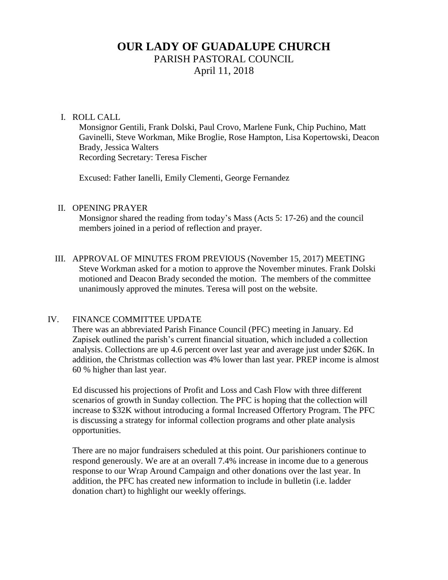# **OUR LADY OF GUADALUPE CHURCH** PARISH PASTORAL COUNCIL April 11, 2018

# I. ROLL CALL

Monsignor Gentili, Frank Dolski, Paul Crovo, Marlene Funk, Chip Puchino, Matt Gavinelli, Steve Workman, Mike Broglie, Rose Hampton, Lisa Kopertowski, Deacon Brady, Jessica Walters Recording Secretary: Teresa Fischer

Excused: Father Ianelli, Emily Clementi, George Fernandez

#### II. OPENING PRAYER

Monsignor shared the reading from today's Mass (Acts 5: 17-26) and the council members joined in a period of reflection and prayer.

III. APPROVAL OF MINUTES FROM PREVIOUS (November 15, 2017) MEETING Steve Workman asked for a motion to approve the November minutes. Frank Dolski motioned and Deacon Brady seconded the motion. The members of the committee unanimously approved the minutes. Teresa will post on the website.

# IV. FINANCE COMMITTEE UPDATE

There was an abbreviated Parish Finance Council (PFC) meeting in January. Ed Zapisek outlined the parish's current financial situation, which included a collection analysis. Collections are up 4.6 percent over last year and average just under \$26K. In addition, the Christmas collection was 4% lower than last year. PREP income is almost 60 % higher than last year.

Ed discussed his projections of Profit and Loss and Cash Flow with three different scenarios of growth in Sunday collection. The PFC is hoping that the collection will increase to \$32K without introducing a formal Increased Offertory Program. The PFC is discussing a strategy for informal collection programs and other plate analysis opportunities.

There are no major fundraisers scheduled at this point. Our parishioners continue to respond generously. We are at an overall 7.4% increase in income due to a generous response to our Wrap Around Campaign and other donations over the last year. In addition, the PFC has created new information to include in bulletin (i.e. ladder donation chart) to highlight our weekly offerings.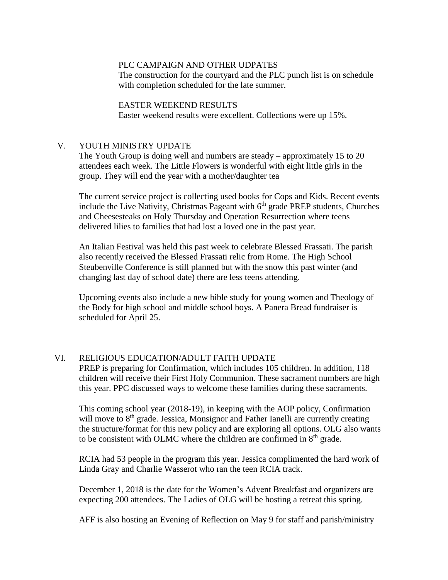# PLC CAMPAIGN AND OTHER UDPATES

The construction for the courtyard and the PLC punch list is on schedule with completion scheduled for the late summer.

#### EASTER WEEKEND RESULTS

Easter weekend results were excellent. Collections were up 15%.

#### V. YOUTH MINISTRY UPDATE

The Youth Group is doing well and numbers are steady – approximately 15 to 20 attendees each week. The Little Flowers is wonderful with eight little girls in the group. They will end the year with a mother/daughter tea

The current service project is collecting used books for Cops and Kids. Recent events include the Live Nativity, Christmas Pageant with  $6<sup>th</sup>$  grade PREP students, Churches and Cheesesteaks on Holy Thursday and Operation Resurrection where teens delivered lilies to families that had lost a loved one in the past year.

An Italian Festival was held this past week to celebrate Blessed Frassati. The parish also recently received the Blessed Frassati relic from Rome. The High School Steubenville Conference is still planned but with the snow this past winter (and changing last day of school date) there are less teens attending.

Upcoming events also include a new bible study for young women and Theology of the Body for high school and middle school boys. A Panera Bread fundraiser is scheduled for April 25.

# VI. RELIGIOUS EDUCATION/ADULT FAITH UPDATE

PREP is preparing for Confirmation, which includes 105 children. In addition, 118 children will receive their First Holy Communion. These sacrament numbers are high this year. PPC discussed ways to welcome these families during these sacraments.

This coming school year (2018-19), in keeping with the AOP policy, Confirmation will move to 8<sup>th</sup> grade. Jessica, Monsignor and Father Ianelli are currently creating the structure/format for this new policy and are exploring all options. OLG also wants to be consistent with OLMC where the children are confirmed in  $8<sup>th</sup>$  grade.

RCIA had 53 people in the program this year. Jessica complimented the hard work of Linda Gray and Charlie Wasserot who ran the teen RCIA track.

December 1, 2018 is the date for the Women's Advent Breakfast and organizers are expecting 200 attendees. The Ladies of OLG will be hosting a retreat this spring.

AFF is also hosting an Evening of Reflection on May 9 for staff and parish/ministry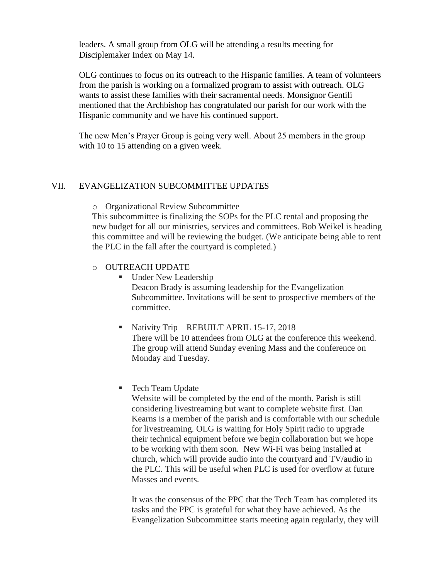leaders. A small group from OLG will be attending a results meeting for Disciplemaker Index on May 14.

OLG continues to focus on its outreach to the Hispanic families. A team of volunteers from the parish is working on a formalized program to assist with outreach. OLG wants to assist these families with their sacramental needs. Monsignor Gentili mentioned that the Archbishop has congratulated our parish for our work with the Hispanic community and we have his continued support.

The new Men's Prayer Group is going very well. About 25 members in the group with 10 to 15 attending on a given week.

# VII. EVANGELIZATION SUBCOMMITTEE UPDATES

o Organizational Review Subcommittee

This subcommittee is finalizing the SOPs for the PLC rental and proposing the new budget for all our ministries, services and committees. Bob Weikel is heading this committee and will be reviewing the budget. (We anticipate being able to rent the PLC in the fall after the courtyard is completed.)

#### o OUTREACH UPDATE

- Under New Leadership Deacon Brady is assuming leadership for the Evangelization Subcommittee. Invitations will be sent to prospective members of the committee.
- Nativity Trip REBUILT APRIL 15-17, 2018 There will be 10 attendees from OLG at the conference this weekend. The group will attend Sunday evening Mass and the conference on Monday and Tuesday.
- Tech Team Update

Website will be completed by the end of the month. Parish is still considering livestreaming but want to complete website first. Dan Kearns is a member of the parish and is comfortable with our schedule for livestreaming. OLG is waiting for Holy Spirit radio to upgrade their technical equipment before we begin collaboration but we hope to be working with them soon. New Wi-Fi was being installed at church, which will provide audio into the courtyard and TV/audio in the PLC. This will be useful when PLC is used for overflow at future Masses and events.

It was the consensus of the PPC that the Tech Team has completed its tasks and the PPC is grateful for what they have achieved. As the Evangelization Subcommittee starts meeting again regularly, they will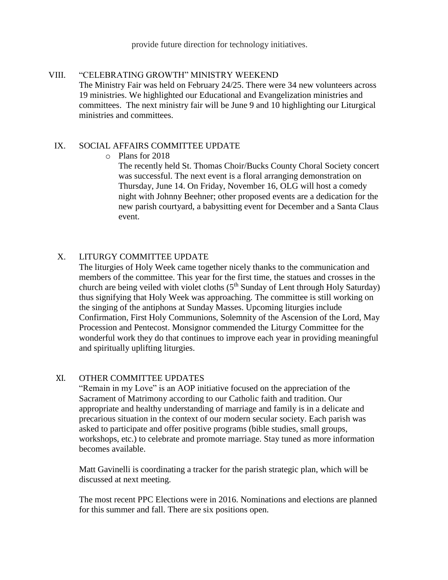provide future direction for technology initiatives.

VIII. "CELEBRATING GROWTH" MINISTRY WEEKEND The Ministry Fair was held on February 24/25. There were 34 new volunteers across 19 ministries. We highlighted our Educational and Evangelization ministries and committees. The next ministry fair will be June 9 and 10 highlighting our Liturgical ministries and committees.

#### IX. SOCIAL AFFAIRS COMMITTEE UPDATE

o Plans for 2018

The recently held St. Thomas Choir/Bucks County Choral Society concert was successful. The next event is a floral arranging demonstration on Thursday, June 14. On Friday, November 16, OLG will host a comedy night with Johnny Beehner; other proposed events are a dedication for the new parish courtyard, a babysitting event for December and a Santa Claus event.

#### X. LITURGY COMMITTEE UPDATE

The liturgies of Holy Week came together nicely thanks to the communication and members of the committee. This year for the first time, the statues and crosses in the church are being veiled with violet cloths  $(5<sup>th</sup>$  Sunday of Lent through Holy Saturday) thus signifying that Holy Week was approaching. The committee is still working on the singing of the antiphons at Sunday Masses. Upcoming liturgies include Confirmation, First Holy Communions, Solemnity of the Ascension of the Lord, May Procession and Pentecost. Monsignor commended the Liturgy Committee for the wonderful work they do that continues to improve each year in providing meaningful and spiritually uplifting liturgies.

# XI. OTHER COMMITTEE UPDATES

"Remain in my Love" is an AOP initiative focused on the appreciation of the Sacrament of Matrimony according to our Catholic faith and tradition. Our appropriate and healthy understanding of marriage and family is in a delicate and precarious situation in the context of our modern secular society. Each parish was asked to participate and offer positive programs (bible studies, small groups, workshops, etc.) to celebrate and promote marriage. Stay tuned as more information becomes available.

Matt Gavinelli is coordinating a tracker for the parish strategic plan, which will be discussed at next meeting.

The most recent PPC Elections were in 2016. Nominations and elections are planned for this summer and fall. There are six positions open.